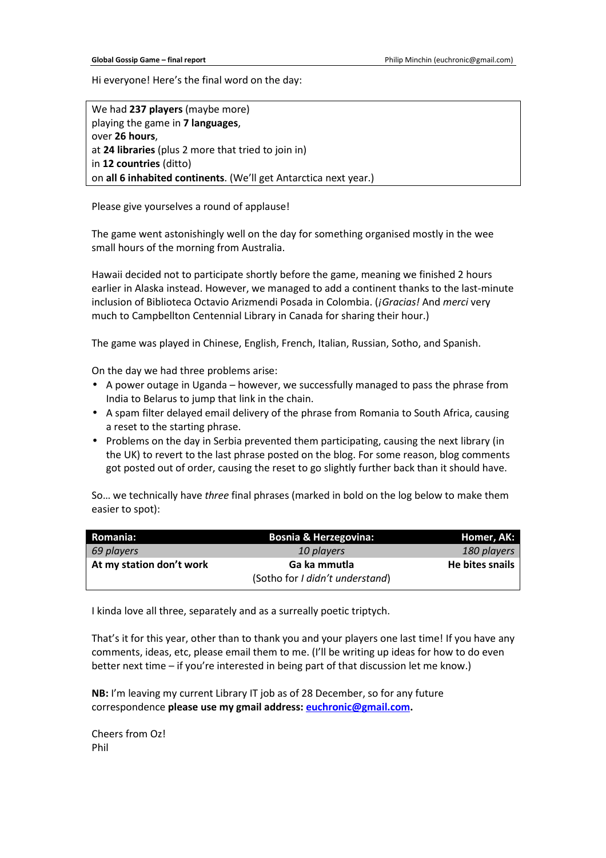Hi everyone! Here's the final word on the day:

We had **237 players** (maybe more) playing the game in **7 languages**, over **26 hours**, at **24 libraries** (plus 2 more that tried to join in) in **12 countries** (ditto) on **all 6 inhabited continents**. (We'll get Antarctica next year.)

Please give yourselves a round of applause!

The game went astonishingly well on the day for something organised mostly in the wee small hours of the morning from Australia.

Hawaii decided not to participate shortly before the game, meaning we finished 2 hours earlier in Alaska instead. However, we managed to add a continent thanks to the last-minute inclusion of Biblioteca Octavio Arizmendi Posada in Colombia. (*¡Gracias!* And *merci* very much to Campbellton Centennial Library in Canada for sharing their hour.)

The game was played in Chinese, English, French, Italian, Russian, Sotho, and Spanish.

On the day we had three problems arise:

- A power outage in Uganda however, we successfully managed to pass the phrase from India to Belarus to jump that link in the chain.
- A spam filter delayed email delivery of the phrase from Romania to South Africa, causing a reset to the starting phrase.
- Problems on the day in Serbia prevented them participating, causing the next library (in the UK) to revert to the last phrase posted on the blog. For some reason, blog comments got posted out of order, causing the reset to go slightly further back than it should have.

So… we technically have *three* final phrases (marked in bold on the log below to make them easier to spot):

| Romania:                 | <b>Bosnia &amp; Herzegovina:</b> | Homer, AK:      |
|--------------------------|----------------------------------|-----------------|
| 69 players               | 10 players                       | 180 players     |
| At my station don't work | Ga ka mmutla                     | He bites snails |
|                          | (Sotho for I didn't understand)  |                 |

I kinda love all three, separately and as a surreally poetic triptych.

That's it for this year, other than to thank you and your players one last time! If you have any comments, ideas, etc, please email them to me. (I'll be writing up ideas for how to do even better next time – if you're interested in being part of that discussion let me know.)

**NB:** I'm leaving my current Library IT job as of 28 December, so for any future correspondence **please use my gmail address: euchronic@gmail.com.** 

Cheers from Oz! Phil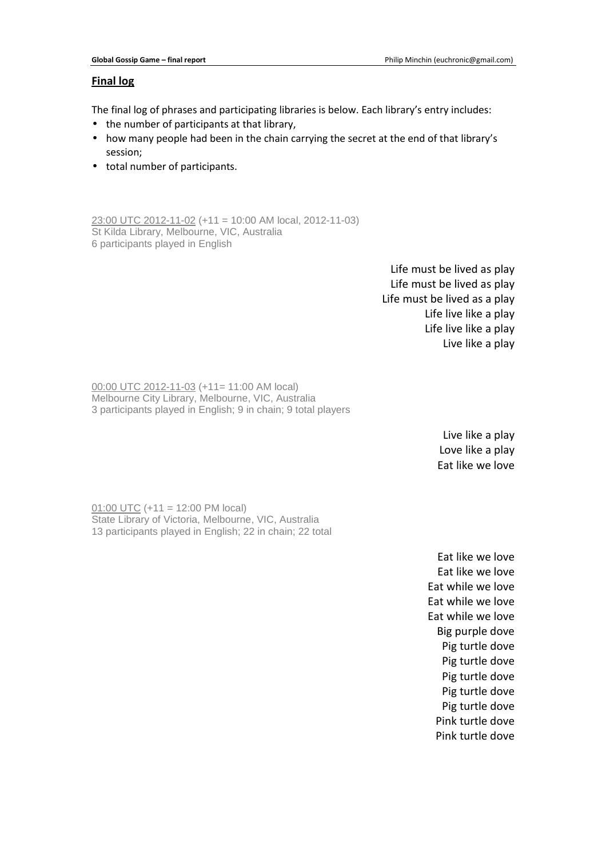# **Final log**

The final log of phrases and participating libraries is below. Each library's entry includes:

- the number of participants at that library,
- how many people had been in the chain carrying the secret at the end of that library's session;
- total number of participants.

23:00 UTC 2012-11-02 (+11 = 10:00 AM local, 2012-11-03) St Kilda Library, Melbourne, VIC, Australia 6 participants played in English

> Life must be lived as play Life must be lived as play Life must be lived as a play Life live like a play Life live like a play Live like a play

00:00 UTC 2012-11-03 (+11= 11:00 AM local) Melbourne City Library, Melbourne, VIC, Australia 3 participants played in English; 9 in chain; 9 total players

> Live like a play Love like a play Eat like we love

01:00 UTC (+11 = 12:00 PM local) State Library of Victoria, Melbourne, VIC, Australia 13 participants played in English; 22 in chain; 22 total

> Eat like we love Eat like we love Eat while we love Eat while we love Eat while we love Big purple dove Pig turtle dove Pig turtle dove Pig turtle dove Pig turtle dove Pig turtle dove Pink turtle dove Pink turtle dove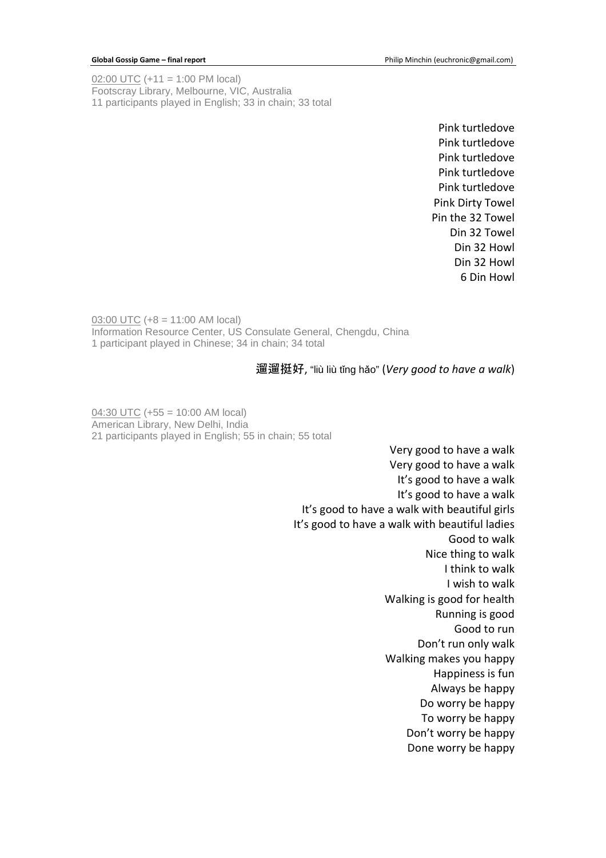02:00 UTC (+11 = 1:00 PM local) Footscray Library, Melbourne, VIC, Australia 11 participants played in English; 33 in chain; 33 total

> Pink turtledove Pink turtledove Pink turtledove Pink turtledove Pink turtledove Pink Dirty Towel Pin the 32 Towel Din 32 Towel Din 32 Howl Din 32 Howl 6 Din Howl

03:00 UTC (+8 = 11:00 AM local) Information Resource Center, US Consulate General, Chengdu, China 1 participant played in Chinese; 34 in chain; 34 total

## 遛遛挺好, "liù liù tǐng hǎo" (*Very good to have a walk*)

 $04:30$  UTC (+55 = 10:00 AM local) American Library, New Delhi, India 21 participants played in English; 55 in chain; 55 total

> Very good to have a walk Very good to have a walk It's good to have a walk It's good to have a walk It's good to have a walk with beautiful girls It's good to have a walk with beautiful ladies Good to walk Nice thing to walk I think to walk I wish to walk Walking is good for health Running is good Good to run Don't run only walk Walking makes you happy Happiness is fun Always be happy Do worry be happy To worry be happy Don't worry be happy Done worry be happy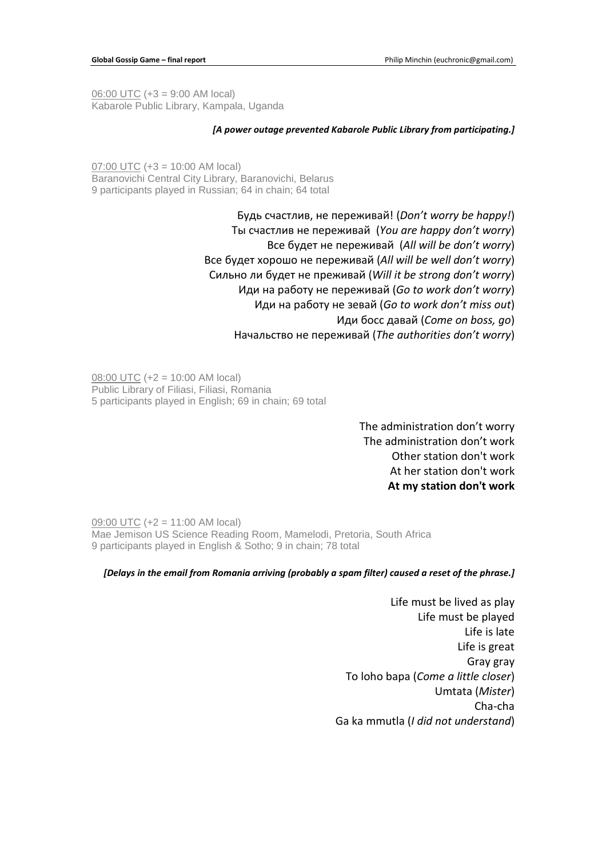06:00 UTC (+3 = 9:00 AM local) Kabarole Public Library, Kampala, Uganda

### *[A power outage prevented Kabarole Public Library from participating.]*

07:00 UTC (+3 = 10:00 AM local) Baranovichi Central City Library, Baranovichi, Belarus 9 participants played in Russian; 64 in chain; 64 total

> Будь счастлив, не переживай! (*Don't worry be happy!*) Ты счастлив не переживай (*You are happy don't worry*) Все будет не переживай (*All will be don't worry*) Все будет хорошо не переживай (*All will be well don't worry*) Сильно ли будет не преживай (*Will it be strong don't worry*) Иди на работу не переживай (*Go to work don't worry*) Иди на работу не зевай (*Go to work don't miss out*) Иди босс давай (*Come on boss, go*) Начальство не переживай (*The authorities don't worry*)

08:00 UTC (+2 = 10:00 AM local) Public Library of Filiasi, Filiasi, Romania 5 participants played in English; 69 in chain; 69 total

> The administration don't worry The administration don't work Other station don't work At her station don't work **At my station don't work**

09:00 UTC (+2 = 11:00 AM local) Mae Jemison US Science Reading Room, Mamelodi, Pretoria, South Africa 9 participants played in English & Sotho; 9 in chain; 78 total

### *[Delays in the email from Romania arriving (probably a spam filter) caused a reset of the phrase.]*

Life must be lived as play Life must be played Life is late Life is great Gray gray To loho bapa (*Come a little closer*) Umtata (*Mister*) Cha-cha Ga ka mmutla (*I did not understand*)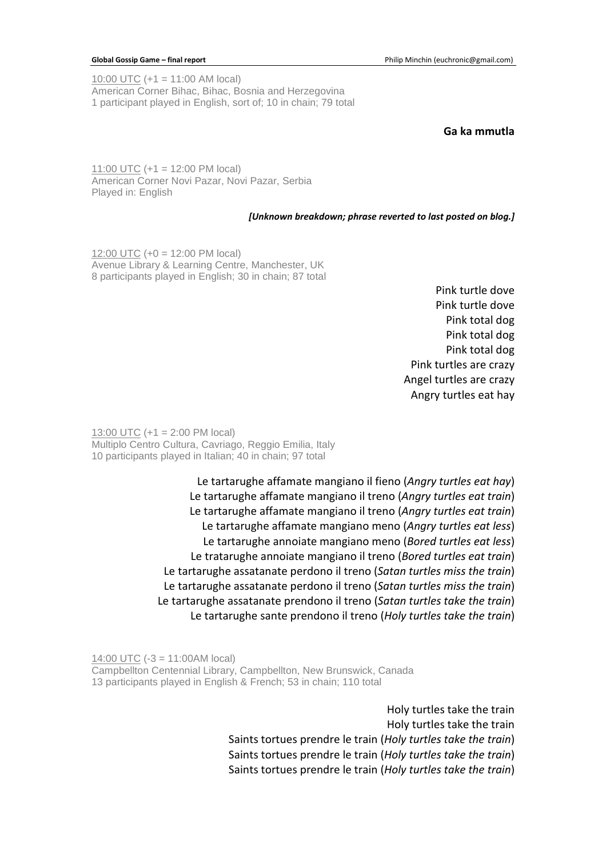10:00 UTC (+1 = 11:00 AM local) American Corner Bihac, Bihac, Bosnia and Herzegovina 1 participant played in English, sort of; 10 in chain; 79 total

## **Ga ka mmutla**

11:00 UTC (+1 = 12:00 PM local) American Corner Novi Pazar, Novi Pazar, Serbia Played in: English

### *[Unknown breakdown; phrase reverted to last posted on blog.]*

12:00 UTC (+0 = 12:00 PM local) Avenue Library & Learning Centre, Manchester, UK 8 participants played in English; 30 in chain; 87 total

> Pink turtle dove Pink turtle dove Pink total dog Pink total dog Pink total dog Pink turtles are crazy Angel turtles are crazy Angry turtles eat hay

13:00 UTC (+1 = 2:00 PM local) Multiplo Centro Cultura, Cavriago, Reggio Emilia, Italy 10 participants played in Italian; 40 in chain; 97 total

> Le tartarughe affamate mangiano il fieno (*Angry turtles eat hay*) Le tartarughe affamate mangiano il treno (*Angry turtles eat train*) Le tartarughe affamate mangiano il treno (*Angry turtles eat train*) Le tartarughe affamate mangiano meno (*Angry turtles eat less*) Le tartarughe annoiate mangiano meno (*Bored turtles eat less*) Le tratarughe annoiate mangiano il treno (*Bored turtles eat train*) Le tartarughe assatanate perdono il treno (*Satan turtles miss the train*) Le tartarughe assatanate perdono il treno (*Satan turtles miss the train*) Le tartarughe assatanate prendono il treno (*Satan turtles take the train*) Le tartarughe sante prendono il treno (*Holy turtles take the train*)

14:00 UTC (-3 = 11:00AM local) Campbellton Centennial Library, Campbellton, New Brunswick, Canada 13 participants played in English & French; 53 in chain; 110 total

> Holy turtles take the train Holy turtles take the train Saints tortues prendre le train (*Holy turtles take the train*) Saints tortues prendre le train (*Holy turtles take the train*) Saints tortues prendre le train (*Holy turtles take the train*)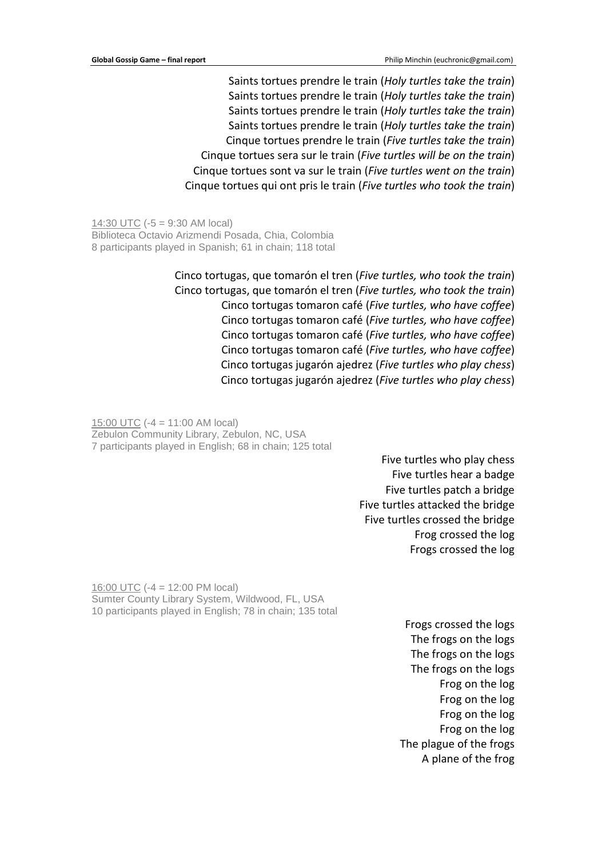Saints tortues prendre le train (*Holy turtles take the train*) Saints tortues prendre le train (*Holy turtles take the train*) Saints tortues prendre le train (*Holy turtles take the train*) Saints tortues prendre le train (*Holy turtles take the train*) Cinque tortues prendre le train (*Five turtles take the train*) Cinque tortues sera sur le train (*Five turtles will be on the train*) Cinque tortues sont va sur le train (*Five turtles went on the train*) Cinque tortues qui ont pris le train (*Five turtles who took the train*)

14:30 UTC (-5 = 9:30 AM local) Biblioteca Octavio Arizmendi Posada, Chia, Colombia 8 participants played in Spanish; 61 in chain; 118 total

> Cinco tortugas, que tomarón el tren (*Five turtles, who took the train*) Cinco tortugas, que tomarón el tren (*Five turtles, who took the train*) Cinco tortugas tomaron café (*Five turtles, who have coffee*) Cinco tortugas tomaron café (*Five turtles, who have coffee*) Cinco tortugas tomaron café (*Five turtles, who have coffee*) Cinco tortugas tomaron café (*Five turtles, who have coffee*) Cinco tortugas jugarón ajedrez (*Five turtles who play chess*) Cinco tortugas jugarón ajedrez (*Five turtles who play chess*)

15:00 UTC (-4 = 11:00 AM local) Zebulon Community Library, Zebulon, NC, USA 7 participants played in English; 68 in chain; 125 total

> Five turtles who play chess Five turtles hear a badge Five turtles patch a bridge Five turtles attacked the bridge Five turtles crossed the bridge Frog crossed the log Frogs crossed the log

16:00 UTC (-4 = 12:00 PM local) Sumter County Library System, Wildwood, FL, USA 10 participants played in English; 78 in chain; 135 total

> Frogs crossed the logs The frogs on the logs The frogs on the logs The frogs on the logs Frog on the log Frog on the log Frog on the log Frog on the log The plague of the frogs A plane of the frog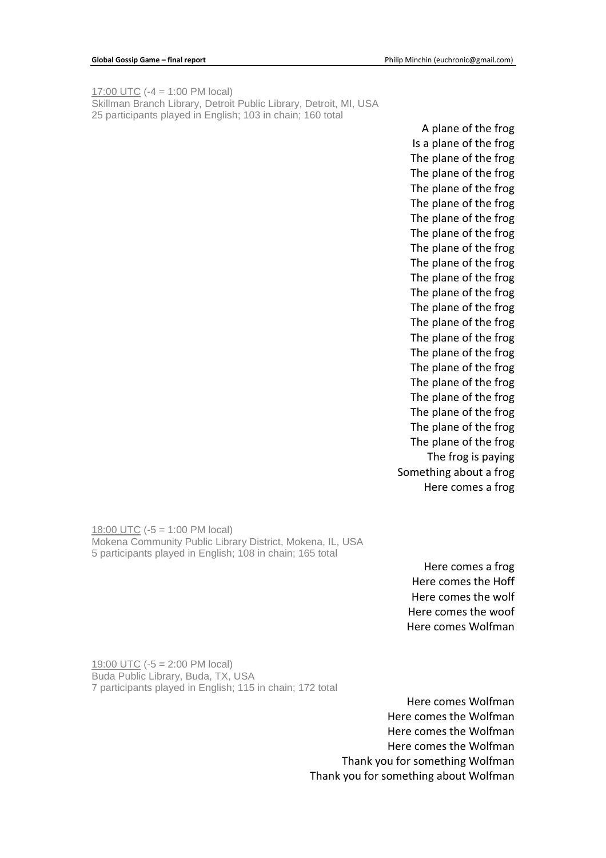17:00 UTC (-4 = 1:00 PM local) Skillman Branch Library, Detroit Public Library, Detroit, MI, USA 25 participants played in English; 103 in chain; 160 total

A plane of the frog Is a plane of the frog The plane of the frog The plane of the frog The plane of the frog The plane of the frog The plane of the frog The plane of the frog The plane of the frog The plane of the frog The plane of the frog The plane of the frog The plane of the frog The plane of the frog The plane of the frog The plane of the frog The plane of the frog The plane of the frog The plane of the frog The plane of the frog The plane of the frog The plane of the frog The frog is paying Something about a frog Here comes a frog

18:00 UTC (-5 = 1:00 PM local) Mokena Community Public Library District, Mokena, IL, USA 5 participants played in English; 108 in chain; 165 total

> Here comes a frog Here comes the Hoff Here comes the wolf Here comes the woof Here comes Wolfman

19:00 UTC (-5 = 2:00 PM local) Buda Public Library, Buda, TX, USA 7 participants played in English; 115 in chain; 172 total

> Here comes Wolfman Here comes the Wolfman Here comes the Wolfman Here comes the Wolfman Thank you for something Wolfman Thank you for something about Wolfman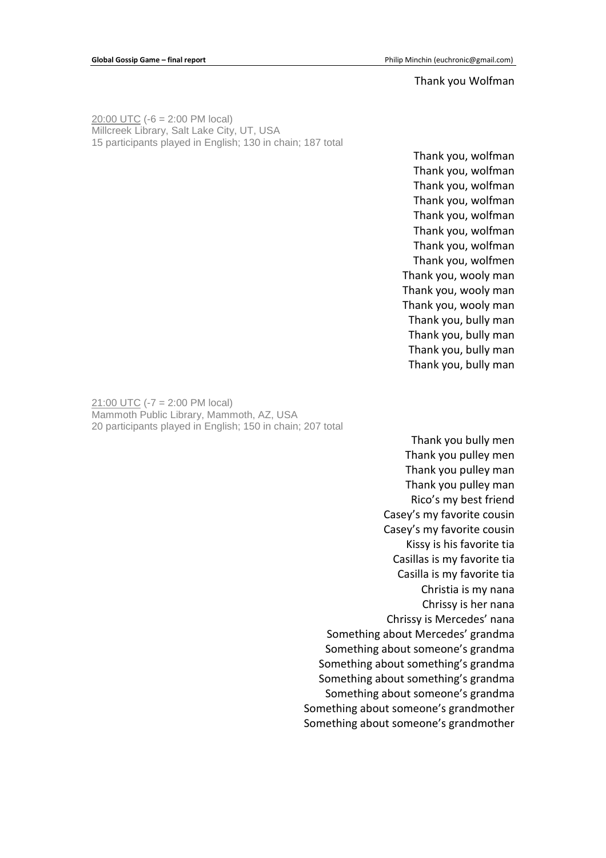### Thank you Wolfman

20:00 UTC (-6 = 2:00 PM local) Millcreek Library, Salt Lake City, UT, USA 15 participants played in English; 130 in chain; 187 total

> Thank you, wolfman Thank you, wolfman Thank you, wolfman Thank you, wolfman Thank you, wolfman Thank you, wolfman Thank you, wolfman Thank you, wolfmen Thank you, wooly man Thank you, wooly man Thank you, wooly man Thank you, bully man Thank you, bully man Thank you, bully man Thank you, bully man

21:00 UTC (-7 = 2:00 PM local) Mammoth Public Library, Mammoth, AZ, USA 20 participants played in English; 150 in chain; 207 total

> Thank you bully men Thank you pulley men Thank you pulley man Thank you pulley man Rico's my best friend Casey's my favorite cousin Casey's my favorite cousin Kissy is his favorite tia Casillas is my favorite tia Casilla is my favorite tia Christia is my nana Chrissy is her nana Chrissy is Mercedes' nana Something about Mercedes' grandma Something about someone's grandma Something about something's grandma Something about something's grandma Something about someone's grandma Something about someone's grandmother Something about someone's grandmother